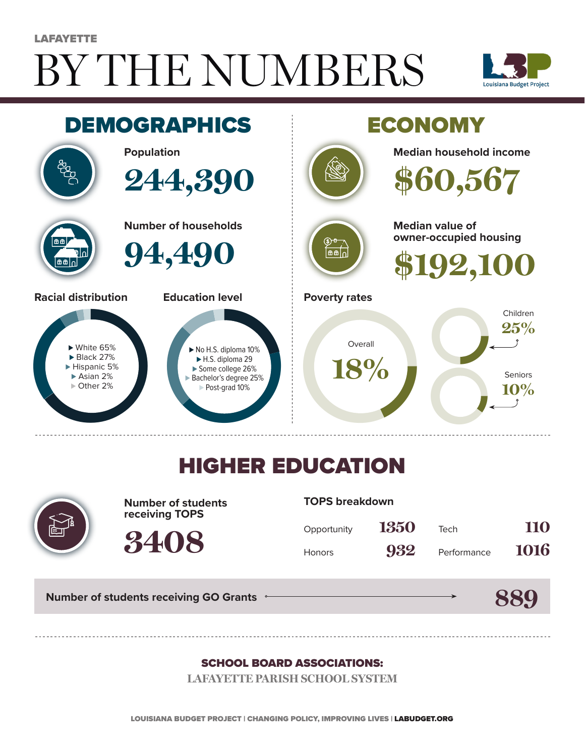# BY THE NUMBERS **LAFAYETTE**





## HIGHER EDUCATION



**Number of students receiving TOPS**

**3408**

#### **TOPS breakdown**

| Opportunity   | 1350 | Tech        | 110  |
|---------------|------|-------------|------|
| <b>Honors</b> | 932  | Performance | 1016 |

**Number of students receiving GO Grants**

#### **889**

#### SCHOOL BOARD ASSOCIATIONS:

**LAFAYETTE PARISH SCHOOL SYSTEM**